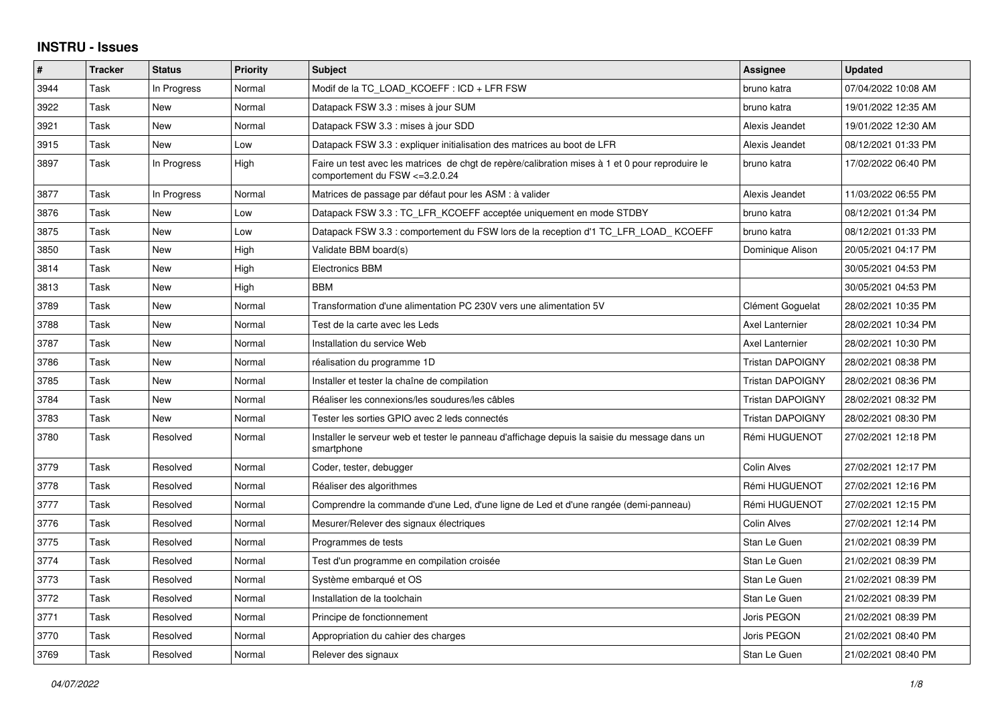## **INSTRU - Issues**

| $\vert$ # | <b>Tracker</b> | <b>Status</b> | <b>Priority</b> | <b>Subject</b>                                                                                                                     | Assignee                | <b>Updated</b>      |
|-----------|----------------|---------------|-----------------|------------------------------------------------------------------------------------------------------------------------------------|-------------------------|---------------------|
| 3944      | Task           | In Progress   | Normal          | Modif de la TC LOAD KCOEFF : ICD + LFR FSW                                                                                         | bruno katra             | 07/04/2022 10:08 AM |
| 3922      | Task           | <b>New</b>    | Normal          | Datapack FSW 3.3 : mises à jour SUM                                                                                                | bruno katra             | 19/01/2022 12:35 AM |
| 3921      | Task           | New           | Normal          | Datapack FSW 3.3 : mises à jour SDD                                                                                                | Alexis Jeandet          | 19/01/2022 12:30 AM |
| 3915      | Task           | <b>New</b>    | Low             | Datapack FSW 3.3 : expliquer initialisation des matrices au boot de LFR                                                            | Alexis Jeandet          | 08/12/2021 01:33 PM |
| 3897      | Task           | In Progress   | High            | Faire un test avec les matrices de chgt de repère/calibration mises à 1 et 0 pour reproduire le<br>comportement du FSW <= 3.2.0.24 | bruno katra             | 17/02/2022 06:40 PM |
| 3877      | Task           | In Progress   | Normal          | Matrices de passage par défaut pour les ASM : à valider                                                                            | Alexis Jeandet          | 11/03/2022 06:55 PM |
| 3876      | Task           | New           | Low             | Datapack FSW 3.3 : TC LFR KCOEFF acceptée uniquement en mode STDBY                                                                 | bruno katra             | 08/12/2021 01:34 PM |
| 3875      | Task           | New           | Low             | Datapack FSW 3.3 : comportement du FSW lors de la reception d'1 TC LFR LOAD KCOEFF                                                 | bruno katra             | 08/12/2021 01:33 PM |
| 3850      | Task           | New           | High            | Validate BBM board(s)                                                                                                              | Dominique Alison        | 20/05/2021 04:17 PM |
| 3814      | Task           | <b>New</b>    | High            | <b>Electronics BBM</b>                                                                                                             |                         | 30/05/2021 04:53 PM |
| 3813      | Task           | New           | High            | <b>BBM</b>                                                                                                                         |                         | 30/05/2021 04:53 PM |
| 3789      | Task           | <b>New</b>    | Normal          | Transformation d'une alimentation PC 230V vers une alimentation 5V                                                                 | Clément Goguelat        | 28/02/2021 10:35 PM |
| 3788      | Task           | <b>New</b>    | Normal          | Test de la carte avec les Leds                                                                                                     | Axel Lanternier         | 28/02/2021 10:34 PM |
| 3787      | Task           | New           | Normal          | Installation du service Web                                                                                                        | Axel Lanternier         | 28/02/2021 10:30 PM |
| 3786      | Task           | New           | Normal          | réalisation du programme 1D                                                                                                        | <b>Tristan DAPOIGNY</b> | 28/02/2021 08:38 PM |
| 3785      | Task           | <b>New</b>    | Normal          | Installer et tester la chaîne de compilation                                                                                       | <b>Tristan DAPOIGNY</b> | 28/02/2021 08:36 PM |
| 3784      | Task           | New           | Normal          | Réaliser les connexions/les soudures/les câbles                                                                                    | Tristan DAPOIGNY        | 28/02/2021 08:32 PM |
| 3783      | Task           | <b>New</b>    | Normal          | Tester les sorties GPIO avec 2 leds connectés                                                                                      | <b>Tristan DAPOIGNY</b> | 28/02/2021 08:30 PM |
| 3780      | Task           | Resolved      | Normal          | Installer le serveur web et tester le panneau d'affichage depuis la saisie du message dans un<br>smartphone                        | Rémi HUGUENOT           | 27/02/2021 12:18 PM |
| 3779      | Task           | Resolved      | Normal          | Coder, tester, debugger                                                                                                            | Colin Alves             | 27/02/2021 12:17 PM |
| 3778      | Task           | Resolved      | Normal          | Réaliser des algorithmes                                                                                                           | Rémi HUGUENOT           | 27/02/2021 12:16 PM |
| 3777      | Task           | Resolved      | Normal          | Comprendre la commande d'une Led, d'une ligne de Led et d'une rangée (demi-panneau)                                                | Rémi HUGUENOT           | 27/02/2021 12:15 PM |
| 3776      | Task           | Resolved      | Normal          | Mesurer/Relever des signaux électriques                                                                                            | <b>Colin Alves</b>      | 27/02/2021 12:14 PM |
| 3775      | Task           | Resolved      | Normal          | Programmes de tests                                                                                                                | Stan Le Guen            | 21/02/2021 08:39 PM |
| 3774      | Task           | Resolved      | Normal          | Test d'un programme en compilation croisée                                                                                         | Stan Le Guen            | 21/02/2021 08:39 PM |
| 3773      | Task           | Resolved      | Normal          | Système embarqué et OS                                                                                                             | Stan Le Guen            | 21/02/2021 08:39 PM |
| 3772      | Task           | Resolved      | Normal          | Installation de la toolchain                                                                                                       | Stan Le Guen            | 21/02/2021 08:39 PM |
| 3771      | Task           | Resolved      | Normal          | Principe de fonctionnement                                                                                                         | Joris PEGON             | 21/02/2021 08:39 PM |
| 3770      | Task           | Resolved      | Normal          | Appropriation du cahier des charges                                                                                                | Joris PEGON             | 21/02/2021 08:40 PM |
| 3769      | Task           | Resolved      | Normal          | Relever des signaux                                                                                                                | Stan Le Guen            | 21/02/2021 08:40 PM |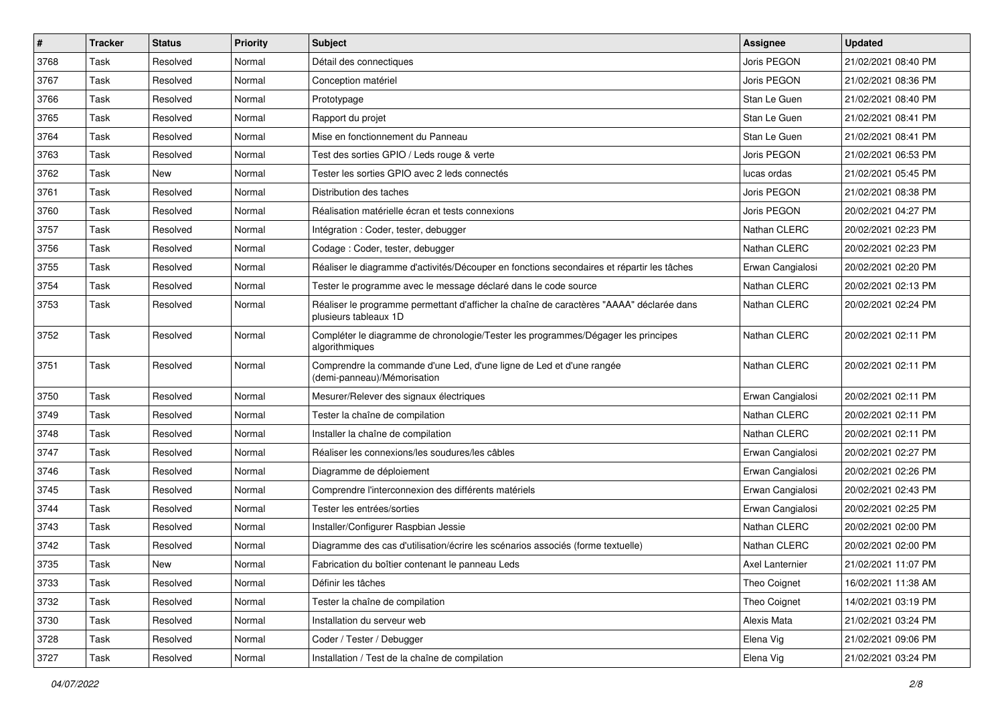| $\sharp$ | <b>Tracker</b> | <b>Status</b> | <b>Priority</b> | Subject                                                                                                           | <b>Assignee</b>  | <b>Updated</b>      |
|----------|----------------|---------------|-----------------|-------------------------------------------------------------------------------------------------------------------|------------------|---------------------|
| 3768     | Task           | Resolved      | Normal          | Détail des connectiques                                                                                           | Joris PEGON      | 21/02/2021 08:40 PM |
| 3767     | Task           | Resolved      | Normal          | Conception matériel                                                                                               | Joris PEGON      | 21/02/2021 08:36 PM |
| 3766     | Task           | Resolved      | Normal          | Prototypage                                                                                                       | Stan Le Guen     | 21/02/2021 08:40 PM |
| 3765     | Task           | Resolved      | Normal          | Rapport du projet                                                                                                 | Stan Le Guen     | 21/02/2021 08:41 PM |
| 3764     | Task           | Resolved      | Normal          | Mise en fonctionnement du Panneau                                                                                 | Stan Le Guen     | 21/02/2021 08:41 PM |
| 3763     | Task           | Resolved      | Normal          | Test des sorties GPIO / Leds rouge & verte                                                                        | Joris PEGON      | 21/02/2021 06:53 PM |
| 3762     | Task           | New           | Normal          | Tester les sorties GPIO avec 2 leds connectés                                                                     | lucas ordas      | 21/02/2021 05:45 PM |
| 3761     | Task           | Resolved      | Normal          | Distribution des taches                                                                                           | Joris PEGON      | 21/02/2021 08:38 PM |
| 3760     | Task           | Resolved      | Normal          | Réalisation matérielle écran et tests connexions                                                                  | Joris PEGON      | 20/02/2021 04:27 PM |
| 3757     | Task           | Resolved      | Normal          | Intégration : Coder, tester, debugger                                                                             | Nathan CLERC     | 20/02/2021 02:23 PM |
| 3756     | Task           | Resolved      | Normal          | Codage: Coder, tester, debugger                                                                                   | Nathan CLERC     | 20/02/2021 02:23 PM |
| 3755     | Task           | Resolved      | Normal          | Réaliser le diagramme d'activités/Découper en fonctions secondaires et répartir les tâches                        | Erwan Cangialosi | 20/02/2021 02:20 PM |
| 3754     | Task           | Resolved      | Normal          | Tester le programme avec le message déclaré dans le code source                                                   | Nathan CLERC     | 20/02/2021 02:13 PM |
| 3753     | Task           | Resolved      | Normal          | Réaliser le programme permettant d'afficher la chaîne de caractères "AAAA" déclarée dans<br>plusieurs tableaux 1D | Nathan CLERC     | 20/02/2021 02:24 PM |
| 3752     | Task           | Resolved      | Normal          | Compléter le diagramme de chronologie/Tester les programmes/Dégager les principes<br>algorithmiques               | Nathan CLERC     | 20/02/2021 02:11 PM |
| 3751     | Task           | Resolved      | Normal          | Comprendre la commande d'une Led, d'une ligne de Led et d'une rangée<br>(demi-panneau)/Mémorisation               | Nathan CLERC     | 20/02/2021 02:11 PM |
| 3750     | Task           | Resolved      | Normal          | Mesurer/Relever des signaux électriques                                                                           | Erwan Cangialosi | 20/02/2021 02:11 PM |
| 3749     | Task           | Resolved      | Normal          | Tester la chaîne de compilation                                                                                   | Nathan CLERC     | 20/02/2021 02:11 PM |
| 3748     | Task           | Resolved      | Normal          | Installer la chaîne de compilation                                                                                | Nathan CLERC     | 20/02/2021 02:11 PM |
| 3747     | Task           | Resolved      | Normal          | Réaliser les connexions/les soudures/les câbles                                                                   | Erwan Cangialosi | 20/02/2021 02:27 PM |
| 3746     | Task           | Resolved      | Normal          | Diagramme de déploiement                                                                                          | Erwan Cangialosi | 20/02/2021 02:26 PM |
| 3745     | Task           | Resolved      | Normal          | Comprendre l'interconnexion des différents matériels                                                              | Erwan Cangialosi | 20/02/2021 02:43 PM |
| 3744     | Task           | Resolved      | Normal          | Tester les entrées/sorties                                                                                        | Erwan Cangialosi | 20/02/2021 02:25 PM |
| 3743     | Task           | Resolved      | Normal          | Installer/Configurer Raspbian Jessie                                                                              | Nathan CLERC     | 20/02/2021 02:00 PM |
| 3742     | Task           | Resolved      | Normal          | Diagramme des cas d'utilisation/écrire les scénarios associés (forme textuelle)                                   | Nathan CLERC     | 20/02/2021 02:00 PM |
| 3735     | Task           | New           | Normal          | Fabrication du boîtier contenant le panneau Leds                                                                  | Axel Lanternier  | 21/02/2021 11:07 PM |
| 3733     | Task           | Resolved      | Normal          | Définir les tâches                                                                                                | Theo Coignet     | 16/02/2021 11:38 AM |
| 3732     | Task           | Resolved      | Normal          | Tester la chaîne de compilation                                                                                   | Theo Coignet     | 14/02/2021 03:19 PM |
| 3730     | Task           | Resolved      | Normal          | Installation du serveur web                                                                                       | Alexis Mata      | 21/02/2021 03:24 PM |
| 3728     | Task           | Resolved      | Normal          | Coder / Tester / Debugger                                                                                         | Elena Vig        | 21/02/2021 09:06 PM |
| 3727     | Task           | Resolved      | Normal          | Installation / Test de la chaîne de compilation                                                                   | Elena Vig        | 21/02/2021 03:24 PM |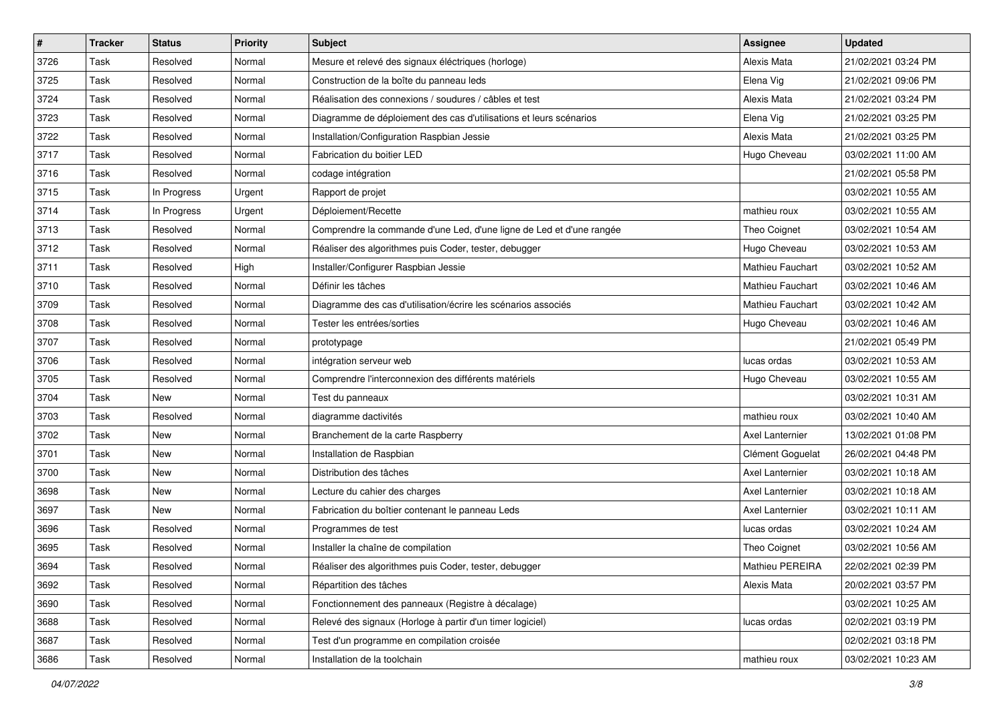| $\sharp$ | <b>Tracker</b> | <b>Status</b> | <b>Priority</b> | Subject                                                              | <b>Assignee</b>  | <b>Updated</b>      |
|----------|----------------|---------------|-----------------|----------------------------------------------------------------------|------------------|---------------------|
| 3726     | Task           | Resolved      | Normal          | Mesure et relevé des signaux éléctriques (horloge)                   | Alexis Mata      | 21/02/2021 03:24 PM |
| 3725     | Task           | Resolved      | Normal          | Construction de la boîte du panneau leds                             | Elena Vig        | 21/02/2021 09:06 PM |
| 3724     | Task           | Resolved      | Normal          | Réalisation des connexions / soudures / câbles et test               | Alexis Mata      | 21/02/2021 03:24 PM |
| 3723     | Task           | Resolved      | Normal          | Diagramme de déploiement des cas d'utilisations et leurs scénarios   | Elena Vig        | 21/02/2021 03:25 PM |
| 3722     | Task           | Resolved      | Normal          | Installation/Configuration Raspbian Jessie                           | Alexis Mata      | 21/02/2021 03:25 PM |
| 3717     | Task           | Resolved      | Normal          | Fabrication du boitier LED                                           | Hugo Cheveau     | 03/02/2021 11:00 AM |
| 3716     | Task           | Resolved      | Normal          | codage intégration                                                   |                  | 21/02/2021 05:58 PM |
| 3715     | Task           | In Progress   | Urgent          | Rapport de projet                                                    |                  | 03/02/2021 10:55 AM |
| 3714     | Task           | In Progress   | Urgent          | Déploiement/Recette                                                  | mathieu roux     | 03/02/2021 10:55 AM |
| 3713     | Task           | Resolved      | Normal          | Comprendre la commande d'une Led, d'une ligne de Led et d'une rangée | Theo Coignet     | 03/02/2021 10:54 AM |
| 3712     | Task           | Resolved      | Normal          | Réaliser des algorithmes puis Coder, tester, debugger                | Hugo Cheveau     | 03/02/2021 10:53 AM |
| 3711     | Task           | Resolved      | High            | Installer/Configurer Raspbian Jessie                                 | Mathieu Fauchart | 03/02/2021 10:52 AM |
| 3710     | Task           | Resolved      | Normal          | Définir les tâches                                                   | Mathieu Fauchart | 03/02/2021 10:46 AM |
| 3709     | Task           | Resolved      | Normal          | Diagramme des cas d'utilisation/écrire les scénarios associés        | Mathieu Fauchart | 03/02/2021 10:42 AM |
| 3708     | Task           | Resolved      | Normal          | Tester les entrées/sorties                                           | Hugo Cheveau     | 03/02/2021 10:46 AM |
| 3707     | Task           | Resolved      | Normal          | prototypage                                                          |                  | 21/02/2021 05:49 PM |
| 3706     | Task           | Resolved      | Normal          | intégration serveur web                                              | lucas ordas      | 03/02/2021 10:53 AM |
| 3705     | Task           | Resolved      | Normal          | Comprendre l'interconnexion des différents matériels                 | Hugo Cheveau     | 03/02/2021 10:55 AM |
| 3704     | Task           | New           | Normal          | Test du panneaux                                                     |                  | 03/02/2021 10:31 AM |
| 3703     | Task           | Resolved      | Normal          | diagramme dactivités                                                 | mathieu roux     | 03/02/2021 10:40 AM |
| 3702     | Task           | New           | Normal          | Branchement de la carte Raspberry                                    | Axel Lanternier  | 13/02/2021 01:08 PM |
| 3701     | Task           | New           | Normal          | Installation de Raspbian                                             | Clément Goguelat | 26/02/2021 04:48 PM |
| 3700     | Task           | New           | Normal          | Distribution des tâches                                              | Axel Lanternier  | 03/02/2021 10:18 AM |
| 3698     | Task           | New           | Normal          | Lecture du cahier des charges                                        | Axel Lanternier  | 03/02/2021 10:18 AM |
| 3697     | Task           | New           | Normal          | Fabrication du boîtier contenant le panneau Leds                     | Axel Lanternier  | 03/02/2021 10:11 AM |
| 3696     | Task           | Resolved      | Normal          | Programmes de test                                                   | lucas ordas      | 03/02/2021 10:24 AM |
| 3695     | Task           | Resolved      | Normal          | Installer la chaîne de compilation                                   | Theo Coignet     | 03/02/2021 10:56 AM |
| 3694     | Task           | Resolved      | Normal          | Réaliser des algorithmes puis Coder, tester, debugger                | Mathieu PEREIRA  | 22/02/2021 02:39 PM |
| 3692     | Task           | Resolved      | Normal          | Répartition des tâches                                               | Alexis Mata      | 20/02/2021 03:57 PM |
| 3690     | Task           | Resolved      | Normal          | Fonctionnement des panneaux (Registre à décalage)                    |                  | 03/02/2021 10:25 AM |
| 3688     | Task           | Resolved      | Normal          | Relevé des signaux (Horloge à partir d'un timer logiciel)            | lucas ordas      | 02/02/2021 03:19 PM |
| 3687     | Task           | Resolved      | Normal          | Test d'un programme en compilation croisée                           |                  | 02/02/2021 03:18 PM |
| 3686     | Task           | Resolved      | Normal          | Installation de la toolchain                                         | mathieu roux     | 03/02/2021 10:23 AM |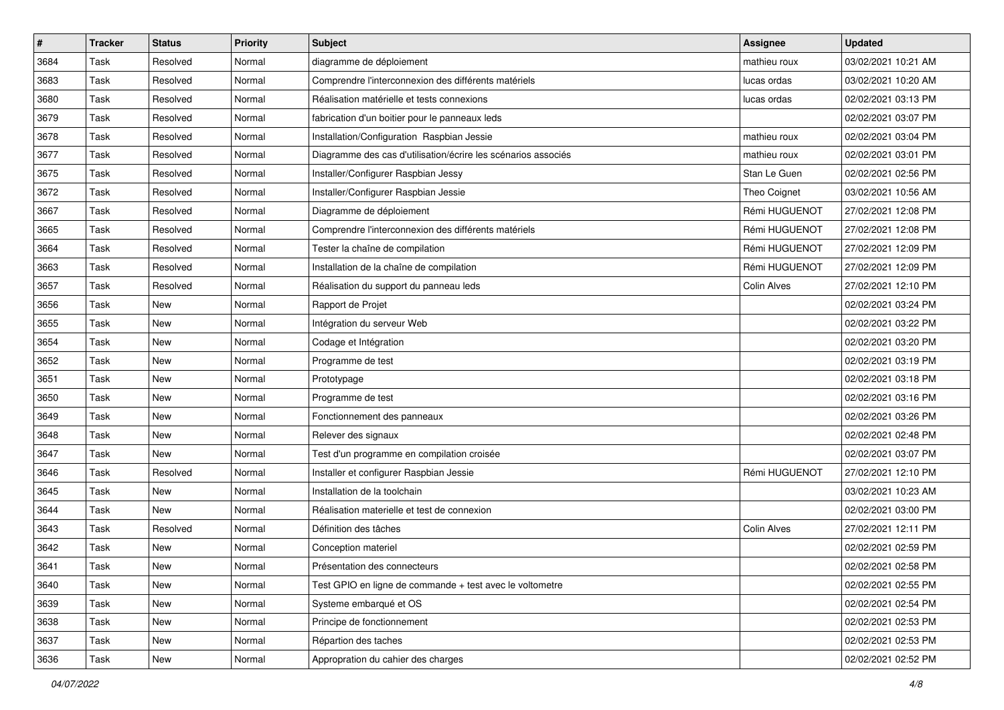| $\sharp$ | <b>Tracker</b> | <b>Status</b> | <b>Priority</b> | Subject                                                       | <b>Assignee</b>    | <b>Updated</b>      |
|----------|----------------|---------------|-----------------|---------------------------------------------------------------|--------------------|---------------------|
| 3684     | Task           | Resolved      | Normal          | diagramme de déploiement                                      | mathieu roux       | 03/02/2021 10:21 AM |
| 3683     | Task           | Resolved      | Normal          | Comprendre l'interconnexion des différents matériels          | lucas ordas        | 03/02/2021 10:20 AM |
| 3680     | Task           | Resolved      | Normal          | Réalisation matérielle et tests connexions                    | lucas ordas        | 02/02/2021 03:13 PM |
| 3679     | Task           | Resolved      | Normal          | fabrication d'un boitier pour le panneaux leds                |                    | 02/02/2021 03:07 PM |
| 3678     | Task           | Resolved      | Normal          | Installation/Configuration Raspbian Jessie                    | mathieu roux       | 02/02/2021 03:04 PM |
| 3677     | Task           | Resolved      | Normal          | Diagramme des cas d'utilisation/écrire les scénarios associés | mathieu roux       | 02/02/2021 03:01 PM |
| 3675     | Task           | Resolved      | Normal          | Installer/Configurer Raspbian Jessy                           | Stan Le Guen       | 02/02/2021 02:56 PM |
| 3672     | Task           | Resolved      | Normal          | Installer/Configurer Raspbian Jessie                          | Theo Coignet       | 03/02/2021 10:56 AM |
| 3667     | Task           | Resolved      | Normal          | Diagramme de déploiement                                      | Rémi HUGUENOT      | 27/02/2021 12:08 PM |
| 3665     | Task           | Resolved      | Normal          | Comprendre l'interconnexion des différents matériels          | Rémi HUGUENOT      | 27/02/2021 12:08 PM |
| 3664     | Task           | Resolved      | Normal          | Tester la chaîne de compilation                               | Rémi HUGUENOT      | 27/02/2021 12:09 PM |
| 3663     | Task           | Resolved      | Normal          | Installation de la chaîne de compilation                      | Rémi HUGUENOT      | 27/02/2021 12:09 PM |
| 3657     | Task           | Resolved      | Normal          | Réalisation du support du panneau leds                        | <b>Colin Alves</b> | 27/02/2021 12:10 PM |
| 3656     | Task           | New           | Normal          | Rapport de Projet                                             |                    | 02/02/2021 03:24 PM |
| 3655     | Task           | New           | Normal          | Intégration du serveur Web                                    |                    | 02/02/2021 03:22 PM |
| 3654     | Task           | New           | Normal          | Codage et Intégration                                         |                    | 02/02/2021 03:20 PM |
| 3652     | Task           | New           | Normal          | Programme de test                                             |                    | 02/02/2021 03:19 PM |
| 3651     | Task           | New           | Normal          | Prototypage                                                   |                    | 02/02/2021 03:18 PM |
| 3650     | Task           | New           | Normal          | Programme de test                                             |                    | 02/02/2021 03:16 PM |
| 3649     | Task           | New           | Normal          | Fonctionnement des panneaux                                   |                    | 02/02/2021 03:26 PM |
| 3648     | Task           | New           | Normal          | Relever des signaux                                           |                    | 02/02/2021 02:48 PM |
| 3647     | Task           | New           | Normal          | Test d'un programme en compilation croisée                    |                    | 02/02/2021 03:07 PM |
| 3646     | Task           | Resolved      | Normal          | Installer et configurer Raspbian Jessie                       | Rémi HUGUENOT      | 27/02/2021 12:10 PM |
| 3645     | Task           | New           | Normal          | Installation de la toolchain                                  |                    | 03/02/2021 10:23 AM |
| 3644     | Task           | New           | Normal          | Réalisation materielle et test de connexion                   |                    | 02/02/2021 03:00 PM |
| 3643     | Task           | Resolved      | Normal          | Définition des tâches                                         | <b>Colin Alves</b> | 27/02/2021 12:11 PM |
| 3642     | Task           | New           | Normal          | Conception materiel                                           |                    | 02/02/2021 02:59 PM |
| 3641     | Task           | New           | Normal          | Présentation des connecteurs                                  |                    | 02/02/2021 02:58 PM |
| 3640     | Task           | New           | Normal          | Test GPIO en ligne de commande + test avec le voltometre      |                    | 02/02/2021 02:55 PM |
| 3639     | Task           | New           | Normal          | Systeme embarqué et OS                                        |                    | 02/02/2021 02:54 PM |
| 3638     | Task           | New           | Normal          | Principe de fonctionnement                                    |                    | 02/02/2021 02:53 PM |
| 3637     | Task           | New           | Normal          | Répartion des taches                                          |                    | 02/02/2021 02:53 PM |
| 3636     | Task           | New           | Normal          | Appropration du cahier des charges                            |                    | 02/02/2021 02:52 PM |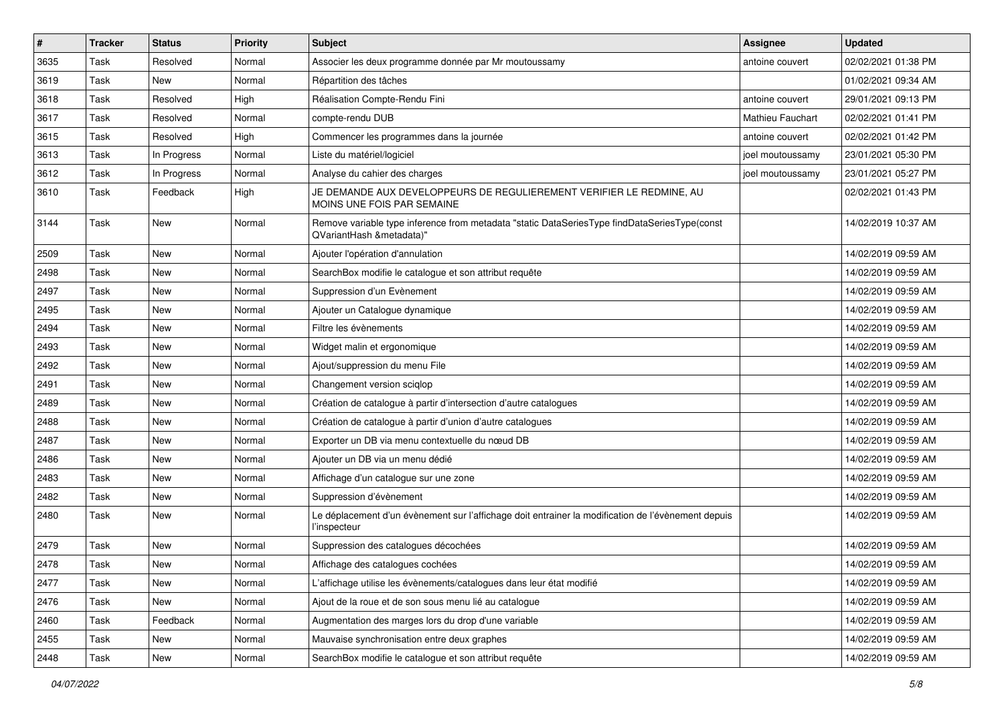| $\vert$ # | <b>Tracker</b> | <b>Status</b> | Priority | Subject                                                                                                                  | <b>Assignee</b>         | <b>Updated</b>      |
|-----------|----------------|---------------|----------|--------------------------------------------------------------------------------------------------------------------------|-------------------------|---------------------|
| 3635      | Task           | Resolved      | Normal   | Associer les deux programme donnée par Mr moutoussamy                                                                    | antoine couvert         | 02/02/2021 01:38 PM |
| 3619      | Task           | New           | Normal   | Répartition des tâches                                                                                                   |                         | 01/02/2021 09:34 AM |
| 3618      | Task           | Resolved      | High     | Réalisation Compte-Rendu Fini                                                                                            | antoine couvert         | 29/01/2021 09:13 PM |
| 3617      | Task           | Resolved      | Normal   | compte-rendu DUB                                                                                                         | <b>Mathieu Fauchart</b> | 02/02/2021 01:41 PM |
| 3615      | Task           | Resolved      | High     | Commencer les programmes dans la journée                                                                                 | antoine couvert         | 02/02/2021 01:42 PM |
| 3613      | Task           | In Progress   | Normal   | Liste du matériel/logiciel                                                                                               | joel moutoussamy        | 23/01/2021 05:30 PM |
| 3612      | Task           | In Progress   | Normal   | Analyse du cahier des charges                                                                                            | joel moutoussamy        | 23/01/2021 05:27 PM |
| 3610      | Task           | Feedback      | High     | JE DEMANDE AUX DEVELOPPEURS DE REGULIEREMENT VERIFIER LE REDMINE, AU<br>MOINS UNE FOIS PAR SEMAINE                       |                         | 02/02/2021 01:43 PM |
| 3144      | Task           | New           | Normal   | Remove variable type inference from metadata "static DataSeriesType findDataSeriesType(const<br>QVariantHash &metadata)" |                         | 14/02/2019 10:37 AM |
| 2509      | Task           | New           | Normal   | Ajouter l'opération d'annulation                                                                                         |                         | 14/02/2019 09:59 AM |
| 2498      | Task           | New           | Normal   | SearchBox modifie le catalogue et son attribut requête                                                                   |                         | 14/02/2019 09:59 AM |
| 2497      | Task           | New           | Normal   | Suppression d'un Evènement                                                                                               |                         | 14/02/2019 09:59 AM |
| 2495      | Task           | New           | Normal   | Ajouter un Catalogue dynamique                                                                                           |                         | 14/02/2019 09:59 AM |
| 2494      | Task           | New           | Normal   | Filtre les évènements                                                                                                    |                         | 14/02/2019 09:59 AM |
| 2493      | Task           | New           | Normal   | Widget malin et ergonomique                                                                                              |                         | 14/02/2019 09:59 AM |
| 2492      | Task           | New           | Normal   | Ajout/suppression du menu File                                                                                           |                         | 14/02/2019 09:59 AM |
| 2491      | Task           | New           | Normal   | Changement version sciqlop                                                                                               |                         | 14/02/2019 09:59 AM |
| 2489      | Task           | New           | Normal   | Création de catalogue à partir d'intersection d'autre catalogues                                                         |                         | 14/02/2019 09:59 AM |
| 2488      | Task           | New           | Normal   | Création de catalogue à partir d'union d'autre catalogues                                                                |                         | 14/02/2019 09:59 AM |
| 2487      | Task           | New           | Normal   | Exporter un DB via menu contextuelle du nœud DB                                                                          |                         | 14/02/2019 09:59 AM |
| 2486      | Task           | New           | Normal   | Ajouter un DB via un menu dédié                                                                                          |                         | 14/02/2019 09:59 AM |
| 2483      | Task           | New           | Normal   | Affichage d'un catalogue sur une zone                                                                                    |                         | 14/02/2019 09:59 AM |
| 2482      | Task           | New           | Normal   | Suppression d'évènement                                                                                                  |                         | 14/02/2019 09:59 AM |
| 2480      | Task           | New           | Normal   | Le déplacement d'un évènement sur l'affichage doit entrainer la modification de l'évènement depuis<br>l'inspecteur       |                         | 14/02/2019 09:59 AM |
| 2479      | Task           | New           | Normal   | Suppression des catalogues décochées                                                                                     |                         | 14/02/2019 09:59 AM |
| 2478      | Task           | New           | Normal   | Affichage des catalogues cochées                                                                                         |                         | 14/02/2019 09:59 AM |
| 2477      | Task           | New           | Normal   | L'affichage utilise les évènements/catalogues dans leur état modifié                                                     |                         | 14/02/2019 09:59 AM |
| 2476      | Task           | New           | Normal   | Ajout de la roue et de son sous menu lié au catalogue                                                                    |                         | 14/02/2019 09:59 AM |
| 2460      | Task           | Feedback      | Normal   | Augmentation des marges lors du drop d'une variable                                                                      |                         | 14/02/2019 09:59 AM |
| 2455      | Task           | New           | Normal   | Mauvaise synchronisation entre deux graphes                                                                              |                         | 14/02/2019 09:59 AM |
| 2448      | Task           | New           | Normal   | SearchBox modifie le catalogue et son attribut requête                                                                   |                         | 14/02/2019 09:59 AM |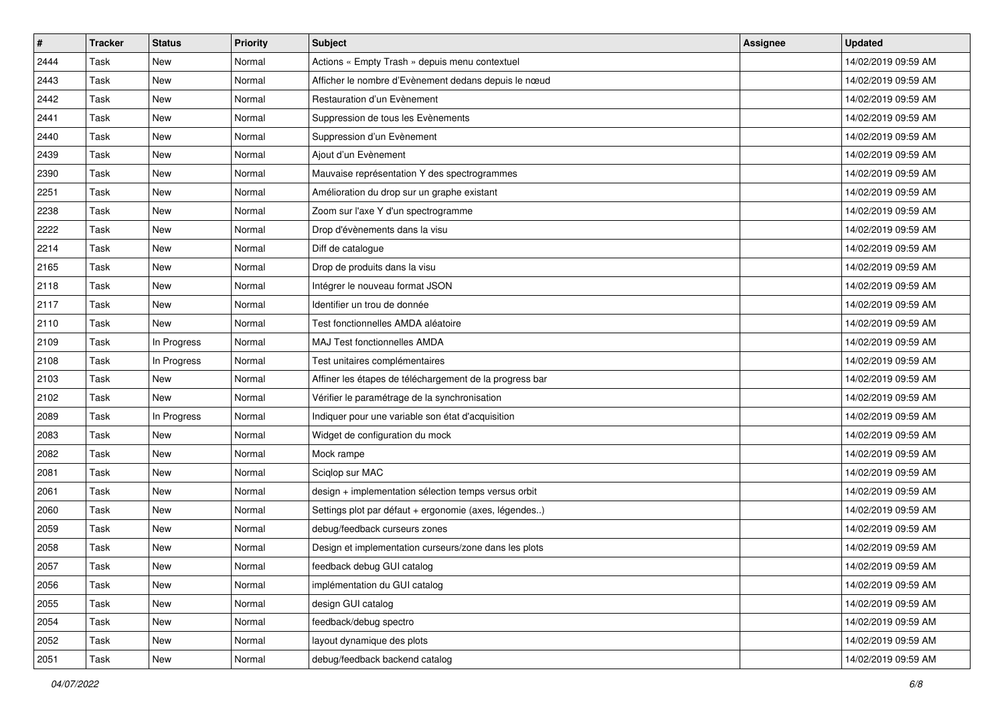| $\vert$ # | <b>Tracker</b> | <b>Status</b> | <b>Priority</b> | <b>Subject</b>                                          | <b>Assignee</b> | <b>Updated</b>      |
|-----------|----------------|---------------|-----------------|---------------------------------------------------------|-----------------|---------------------|
| 2444      | Task           | New           | Normal          | Actions « Empty Trash » depuis menu contextuel          |                 | 14/02/2019 09:59 AM |
| 2443      | Task           | <b>New</b>    | Normal          | Afficher le nombre d'Evènement dedans depuis le nœud    |                 | 14/02/2019 09:59 AM |
| 2442      | Task           | New           | Normal          | Restauration d'un Evènement                             |                 | 14/02/2019 09:59 AM |
| 2441      | Task           | New           | Normal          | Suppression de tous les Evènements                      |                 | 14/02/2019 09:59 AM |
| 2440      | Task           | <b>New</b>    | Normal          | Suppression d'un Evènement                              |                 | 14/02/2019 09:59 AM |
| 2439      | Task           | New           | Normal          | Ajout d'un Evènement                                    |                 | 14/02/2019 09:59 AM |
| 2390      | Task           | New           | Normal          | Mauvaise représentation Y des spectrogrammes            |                 | 14/02/2019 09:59 AM |
| 2251      | Task           | New           | Normal          | Amélioration du drop sur un graphe existant             |                 | 14/02/2019 09:59 AM |
| 2238      | Task           | New           | Normal          | Zoom sur l'axe Y d'un spectrogramme                     |                 | 14/02/2019 09:59 AM |
| 2222      | Task           | <b>New</b>    | Normal          | Drop d'évènements dans la visu                          |                 | 14/02/2019 09:59 AM |
| 2214      | Task           | New           | Normal          | Diff de catalogue                                       |                 | 14/02/2019 09:59 AM |
| 2165      | Task           | New           | Normal          | Drop de produits dans la visu                           |                 | 14/02/2019 09:59 AM |
| 2118      | Task           | New           | Normal          | Intégrer le nouveau format JSON                         |                 | 14/02/2019 09:59 AM |
| 2117      | Task           | New           | Normal          | Identifier un trou de donnée                            |                 | 14/02/2019 09:59 AM |
| 2110      | Task           | <b>New</b>    | Normal          | Test fonctionnelles AMDA aléatoire                      |                 | 14/02/2019 09:59 AM |
| 2109      | Task           | In Progress   | Normal          | <b>MAJ Test fonctionnelles AMDA</b>                     |                 | 14/02/2019 09:59 AM |
| 2108      | Task           | In Progress   | Normal          | Test unitaires complémentaires                          |                 | 14/02/2019 09:59 AM |
| 2103      | Task           | <b>New</b>    | Normal          | Affiner les étapes de téléchargement de la progress bar |                 | 14/02/2019 09:59 AM |
| 2102      | Task           | <b>New</b>    | Normal          | Vérifier le paramétrage de la synchronisation           |                 | 14/02/2019 09:59 AM |
| 2089      | Task           | In Progress   | Normal          | Indiquer pour une variable son état d'acquisition       |                 | 14/02/2019 09:59 AM |
| 2083      | Task           | <b>New</b>    | Normal          | Widget de configuration du mock                         |                 | 14/02/2019 09:59 AM |
| 2082      | Task           | New           | Normal          | Mock rampe                                              |                 | 14/02/2019 09:59 AM |
| 2081      | Task           | <b>New</b>    | Normal          | Sciqlop sur MAC                                         |                 | 14/02/2019 09:59 AM |
| 2061      | Task           | New           | Normal          | design + implementation sélection temps versus orbit    |                 | 14/02/2019 09:59 AM |
| 2060      | Task           | New           | Normal          | Settings plot par défaut + ergonomie (axes, légendes)   |                 | 14/02/2019 09:59 AM |
| 2059      | Task           | New           | Normal          | debug/feedback curseurs zones                           |                 | 14/02/2019 09:59 AM |
| 2058      | Task           | New           | Normal          | Design et implementation curseurs/zone dans les plots   |                 | 14/02/2019 09:59 AM |
| 2057      | Task           | New           | Normal          | feedback debug GUI catalog                              |                 | 14/02/2019 09:59 AM |
| 2056      | Task           | New           | Normal          | implémentation du GUI catalog                           |                 | 14/02/2019 09:59 AM |
| 2055      | Task           | New           | Normal          | design GUI catalog                                      |                 | 14/02/2019 09:59 AM |
| 2054      | Task           | New           | Normal          | feedback/debug spectro                                  |                 | 14/02/2019 09:59 AM |
| 2052      | Task           | New           | Normal          | layout dynamique des plots                              |                 | 14/02/2019 09:59 AM |
| 2051      | Task           | New           | Normal          | debug/feedback backend catalog                          |                 | 14/02/2019 09:59 AM |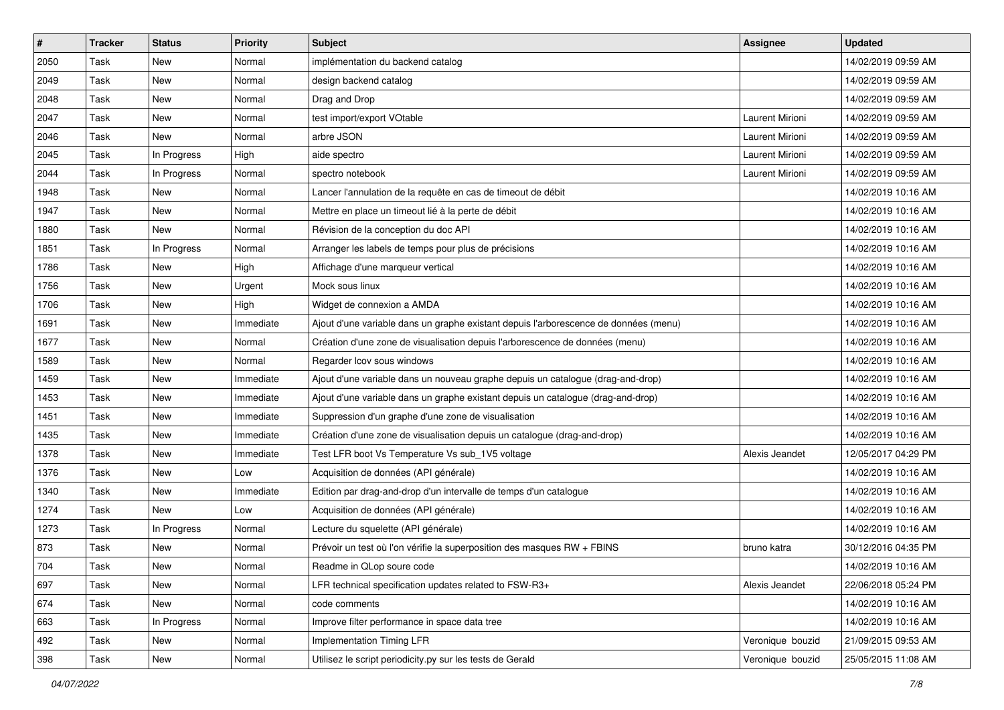| $\vert$ # | Tracker | <b>Status</b> | Priority  | <b>Subject</b>                                                                       | <b>Assignee</b>  | <b>Updated</b>      |
|-----------|---------|---------------|-----------|--------------------------------------------------------------------------------------|------------------|---------------------|
| 2050      | Task    | New           | Normal    | implémentation du backend catalog                                                    |                  | 14/02/2019 09:59 AM |
| 2049      | Task    | New           | Normal    | design backend catalog                                                               |                  | 14/02/2019 09:59 AM |
| 2048      | Task    | New           | Normal    | Drag and Drop                                                                        |                  | 14/02/2019 09:59 AM |
| 2047      | Task    | New           | Normal    | test import/export VOtable                                                           | Laurent Mirioni  | 14/02/2019 09:59 AM |
| 2046      | Task    | <b>New</b>    | Normal    | arbre JSON                                                                           | Laurent Mirioni  | 14/02/2019 09:59 AM |
| 2045      | Task    | In Progress   | High      | aide spectro                                                                         | Laurent Mirioni  | 14/02/2019 09:59 AM |
| 2044      | Task    | In Progress   | Normal    | spectro notebook                                                                     | Laurent Mirioni  | 14/02/2019 09:59 AM |
| 1948      | Task    | New           | Normal    | Lancer l'annulation de la requête en cas de timeout de débit                         |                  | 14/02/2019 10:16 AM |
| 1947      | Task    | New           | Normal    | Mettre en place un timeout lié à la perte de débit                                   |                  | 14/02/2019 10:16 AM |
| 1880      | Task    | New           | Normal    | Révision de la conception du doc API                                                 |                  | 14/02/2019 10:16 AM |
| 1851      | Task    | In Progress   | Normal    | Arranger les labels de temps pour plus de précisions                                 |                  | 14/02/2019 10:16 AM |
| 1786      | Task    | New           | High      | Affichage d'une marqueur vertical                                                    |                  | 14/02/2019 10:16 AM |
| 1756      | Task    | New           | Urgent    | Mock sous linux                                                                      |                  | 14/02/2019 10:16 AM |
| 1706      | Task    | New           | High      | Widget de connexion a AMDA                                                           |                  | 14/02/2019 10:16 AM |
| 1691      | Task    | New           | Immediate | Ajout d'une variable dans un graphe existant depuis l'arborescence de données (menu) |                  | 14/02/2019 10:16 AM |
| 1677      | Task    | New           | Normal    | Création d'une zone de visualisation depuis l'arborescence de données (menu)         |                  | 14/02/2019 10:16 AM |
| 1589      | Task    | New           | Normal    | Regarder Icov sous windows                                                           |                  | 14/02/2019 10:16 AM |
| 1459      | Task    | New           | Immediate | Ajout d'une variable dans un nouveau graphe depuis un catalogue (drag-and-drop)      |                  | 14/02/2019 10:16 AM |
| 1453      | Task    | New           | Immediate | Ajout d'une variable dans un graphe existant depuis un catalogue (drag-and-drop)     |                  | 14/02/2019 10:16 AM |
| 1451      | Task    | New           | Immediate | Suppression d'un graphe d'une zone de visualisation                                  |                  | 14/02/2019 10:16 AM |
| 1435      | Task    | New           | Immediate | Création d'une zone de visualisation depuis un catalogue (drag-and-drop)             |                  | 14/02/2019 10:16 AM |
| 1378      | Task    | New           | Immediate | Test LFR boot Vs Temperature Vs sub_1V5 voltage                                      | Alexis Jeandet   | 12/05/2017 04:29 PM |
| 1376      | Task    | New           | Low       | Acquisition de données (API générale)                                                |                  | 14/02/2019 10:16 AM |
| 1340      | Task    | New           | Immediate | Edition par drag-and-drop d'un intervalle de temps d'un catalogue                    |                  | 14/02/2019 10:16 AM |
| 1274      | Task    | New           | Low       | Acquisition de données (API générale)                                                |                  | 14/02/2019 10:16 AM |
| 1273      | Task    | In Progress   | Normal    | Lecture du squelette (API générale)                                                  |                  | 14/02/2019 10:16 AM |
| 873       | Task    | New           | Normal    | Prévoir un test où l'on vérifie la superposition des masques RW + FBINS              | bruno katra      | 30/12/2016 04:35 PM |
| 704       | Task    | New           | Normal    | Readme in QLop soure code                                                            |                  | 14/02/2019 10:16 AM |
| 697       | Task    | New           | Normal    | LFR technical specification updates related to FSW-R3+                               | Alexis Jeandet   | 22/06/2018 05:24 PM |
| 674       | Task    | New           | Normal    | code comments                                                                        |                  | 14/02/2019 10:16 AM |
| 663       | Task    | In Progress   | Normal    | Improve filter performance in space data tree                                        |                  | 14/02/2019 10:16 AM |
| 492       | Task    | New           | Normal    | <b>Implementation Timing LFR</b>                                                     | Veronique bouzid | 21/09/2015 09:53 AM |
| 398       | Task    | New           | Normal    | Utilisez le script periodicity.py sur les tests de Gerald                            | Veronique bouzid | 25/05/2015 11:08 AM |